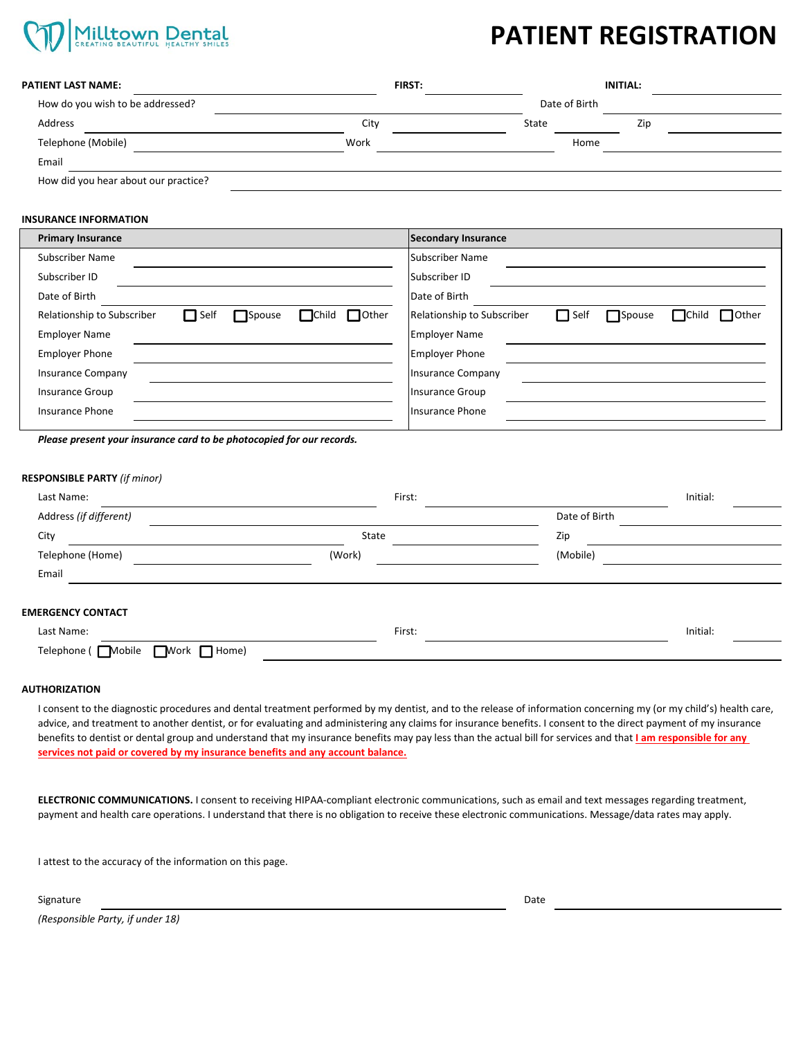

# **PATIENT REGISTRATION**

| <b>PATIENT LAST NAME:</b>            | <b>FIRST:</b> |               | <b>INITIAL:</b> |  |  |
|--------------------------------------|---------------|---------------|-----------------|--|--|
| How do you wish to be addressed?     |               | Date of Birth |                 |  |  |
| Address                              | City          | State         | Zip             |  |  |
| Telephone (Mobile)                   | Work          | Home          |                 |  |  |
| Email                                |               |               |                 |  |  |
| How did you hear about our practice? |               |               |                 |  |  |

### **INSURANCE INFORMATION**

| <b>Primary Insurance</b>                                                            | Secondary Insurance                                                                        |
|-------------------------------------------------------------------------------------|--------------------------------------------------------------------------------------------|
| Subscriber Name                                                                     | Subscriber Name                                                                            |
| Subscriber ID                                                                       | Subscriber ID                                                                              |
| Date of Birth                                                                       | Date of Birth                                                                              |
| Other<br>$\Box$ Self<br>$\Box$ Child<br>Relationship to Subscriber<br>$\Box$ Spouse | $\Box$ Self<br>$\Box$ Child<br>$\Box$ Other<br>$\Box$ Spouse<br>Relationship to Subscriber |
| <b>Employer Name</b>                                                                | <b>Employer Name</b>                                                                       |
| <b>Employer Phone</b>                                                               | <b>Employer Phone</b>                                                                      |
| <b>Insurance Company</b>                                                            | <b>Insurance Company</b>                                                                   |
| <b>Insurance Group</b>                                                              | <b>Insurance Group</b>                                                                     |
| <b>Insurance Phone</b>                                                              | Insurance Phone                                                                            |
|                                                                                     |                                                                                            |

*Please present your insurance card to be photocopied for our records.*

### **RESPONSIBLE PARTY** *(if minor)*

| Last Name:                                                    | First: |               | Initial: |  |
|---------------------------------------------------------------|--------|---------------|----------|--|
| Address (if different)                                        |        | Date of Birth |          |  |
| City                                                          | State  | Zip           |          |  |
| Telephone (Home)                                              | (Work) | (Mobile)      |          |  |
| Email                                                         |        |               |          |  |
| <b>EMERGENCY CONTACT</b>                                      |        |               |          |  |
| Last Name:                                                    | First: |               | Initial: |  |
| $\blacksquare$ Work $\blacksquare$ Home)<br>Telephone (Mobile |        |               |          |  |

### **AUTHORIZATION**

I consent to the diagnostic procedures and dental treatment performed by my dentist, and to the release of information concerning my (or my child's) health care, advice, and treatment to another dentist, or for evaluating and administering any claims for insurance benefits. I consent to the direct payment of my insurance benefits to dentist or dental group and understand that my insurance benefits may pay less than the actual bill for services and that **I am responsible for any services not paid or covered by my insurance benefits and any account balance.**

**ELECTRONIC COMMUNICATIONS.** I consent to receiving HIPAA‐compliant electronic communications, such as email and text messages regarding treatment, payment and health care operations. I understand that there is no obligation to receive these electronic communications. Message/data rates may apply.

I attest to the accuracy of the information on this page.

Signature Date **Date of the Contract of Contract Contract of Contract Contract Contract Only and D**ate Date of Da

*(Responsible Party, if under 18)*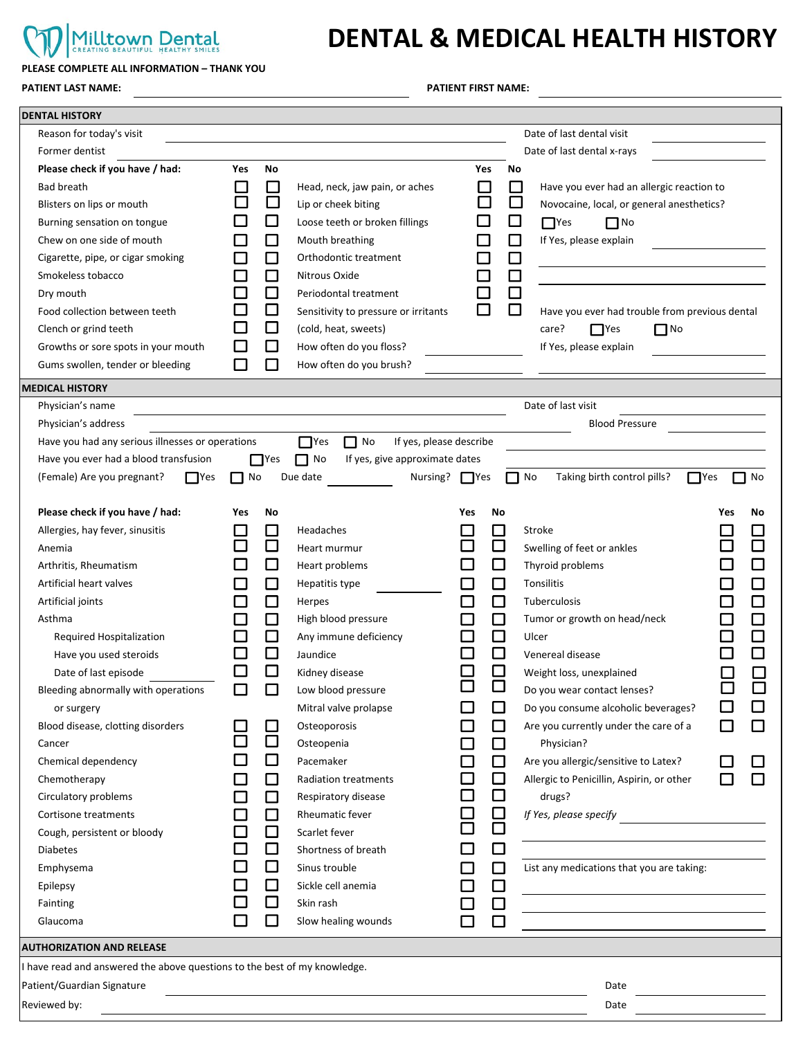### Milltown Dental **PLEASE COMPLETE ALL INFORMATION – THANK YOU**

# **DENTAL & MEDICAL HEALTH HISTORY**

**PATIENT LAST NAME: PATIENT FIRST NAME:** 

| Date of last dental visit<br>Reason for today's visit<br>Date of last dental x-rays<br>Former dentist<br>Please check if you have / had:<br>Yes<br>No<br>Yes<br>No<br><b>Bad breath</b><br>Have you ever had an allergic reaction to<br>$\mathbf{r}$<br>Head, neck, jaw pain, or aches<br>$\mathbf{r}$<br>$\Box$<br>$\Box$<br>Blisters on lips or mouth<br>Lip or cheek biting<br>Novocaine, local, or general anesthetics?<br>$\Box$<br>$\overline{\phantom{0}}$<br>Loose teeth or broken fillings<br>$\Box$ Yes<br>$\Box$ No<br>Burning sensation on tongue<br>Chew on one side of mouth<br>$\Box$<br>If Yes, please explain<br>Mouth breathing<br>$\Box$<br>□<br>Orthodontic treatment<br>$\mathbb{Z}^2$<br>Cigarette, pipe, or cigar smoking<br>□<br>Smokeless tobacco<br>П<br>Nitrous Oxide<br>$\Box$<br>□<br>Dry mouth<br>Periodontal treatment<br>$\Box$<br>□<br>Food collection between teeth<br>Have you ever had trouble from previous dental<br>Sensitivity to pressure or irritants<br>$\Box$<br>$\Box$ No<br>(cold, heat, sweets)<br>care?<br>Clench or grind teeth<br>$\blacksquare$ Yes<br>How often do you floss?<br>Growths or sore spots in your mouth<br>ப<br>If Yes, please explain<br>□<br>How often do you brush?<br>Gums swollen, tender or bleeding<br>$\mathbf{r}$<br><b>MEDICAL HISTORY</b><br>Date of last visit<br>Physician's name<br><b>Blood Pressure</b><br>Physician's address<br>Have you had any serious illnesses or operations<br>$\Box$ No<br>If yes, please describe<br>$\Box$ Yes<br>Have you ever had a blood transfusion<br>$\Box$ No<br>If yes, give approximate dates<br>$\Box$ Yes<br>(Female) Are you pregnant?<br>Due date<br>Nursing? $\Box$ Yes<br>$\Box$ No<br>$\Box$ No<br>Taking birth control pills?<br><b>Nes</b><br><b>TYes</b><br>No<br>Please check if you have / had:<br>Yes<br>No<br>Yes<br>No<br>Yes<br>No<br>Allergies, hay fever, sinusitis<br>Headaches<br>Stroke<br>ப<br>$\mathbf{L}$<br>$\Box$<br>□<br>Swelling of feet or ankles<br>Heart murmur<br>Anemia<br>$\Box$<br>Heart problems<br>Thyroid problems<br>Arthritis, Rheumatism<br>Artificial heart valves<br>$\Box$<br>Tonsilitis<br>$\mathcal{L}_{\mathcal{A}}$<br>Hepatitis type<br>$\Box$<br>$\Box$<br>Artificial joints<br>$\mathcal{L}$<br>Tuberculosis<br>Herpes<br>$\Box$<br>□<br>I<br>High blood pressure<br>Asthma<br>Tumor or growth on head/neck<br>$\Box$<br>$\Box$<br>Any immune deficiency<br>Required Hospitalization<br>Ulcer<br>$\Box$<br>$\Box$<br>Have you used steroids<br>Jaundice<br>Venereal disease<br>$\Box$<br>$\Box$<br>Date of last episode<br>Kidney disease<br>Weight loss, unexplained<br>$\Box$<br>Bleeding abnormally with operations<br>Low blood pressure<br>Do you wear contact lenses?<br>l 1<br>$\Box$<br>Do you consume alcoholic beverages?<br>Mitral valve prolapse<br>or surgery<br>Blood disease, clotting disorders<br>Osteoporosis<br>$\Box$<br>Are you currently under the care of a<br>$\Box$<br>□<br>Osteopenia<br>Physician?<br>Cancer<br>□<br>Chemical dependency<br>Pacemaker<br>Are you allergic/sensitive to Latex?<br>□<br>Chemotherapy<br>Allergic to Penicillin, Aspirin, or other<br>Radiation treatments<br>l I<br>□<br>Circulatory problems<br>$\Box$<br>drugs?<br>Respiratory disease<br>□<br>$\Box$<br>If Yes, please specify<br>Cortisone treatments<br>Rheumatic fever<br>$\Box$<br>$\Box$<br>Scarlet fever<br>Cough, persistent or bloody<br>□<br>$\Box$<br>Shortness of breath<br><b>Diabetes</b><br>$\Box$<br>□<br>Sinus trouble<br>List any medications that you are taking:<br>Emphysema<br>$\Box$<br>Sickle cell anemia<br>ப<br>$\mathbf{I}$<br>Epilepsy<br>$\Box$<br>$\Box$<br>Skin rash<br>Fainting<br>□<br>ப<br>Slow healing wounds<br>Glaucoma<br><b>AUTHORIZATION AND RELEASE</b><br>I have read and answered the above questions to the best of my knowledge.<br>Patient/Guardian Signature<br>Date | <b>DENTAL HISTORY</b> |  |  |      |
|-------------------------------------------------------------------------------------------------------------------------------------------------------------------------------------------------------------------------------------------------------------------------------------------------------------------------------------------------------------------------------------------------------------------------------------------------------------------------------------------------------------------------------------------------------------------------------------------------------------------------------------------------------------------------------------------------------------------------------------------------------------------------------------------------------------------------------------------------------------------------------------------------------------------------------------------------------------------------------------------------------------------------------------------------------------------------------------------------------------------------------------------------------------------------------------------------------------------------------------------------------------------------------------------------------------------------------------------------------------------------------------------------------------------------------------------------------------------------------------------------------------------------------------------------------------------------------------------------------------------------------------------------------------------------------------------------------------------------------------------------------------------------------------------------------------------------------------------------------------------------------------------------------------------------------------------------------------------------------------------------------------------------------------------------------------------------------------------------------------------------------------------------------------------------------------------------------------------------------------------------------------------------------------------------------------------------------------------------------------------------------------------------------------------------------------------------------------------------------------------------------------------------------------------------------------------------------------------------------------------------------------------------------------------------------------------------------------------------------------------------------------------------------------------------------------------------------------------------------------------------------------------------------------------------------------------------------------------------------------------------------------------------------------------------------------------------------------------------------------------------------------------------------------------------------------------------------------------------------------------------------------------------------------------------------------------------------------------------------------------------------------------------------------------------------------------------------------------------------------------------------------------------------------------------------------------------------------------------------------------------------------------------------------------------------------------------------------------------------------------------------------------------------------------------------------------------------------------------------------------------------------------------------|-----------------------|--|--|------|
|                                                                                                                                                                                                                                                                                                                                                                                                                                                                                                                                                                                                                                                                                                                                                                                                                                                                                                                                                                                                                                                                                                                                                                                                                                                                                                                                                                                                                                                                                                                                                                                                                                                                                                                                                                                                                                                                                                                                                                                                                                                                                                                                                                                                                                                                                                                                                                                                                                                                                                                                                                                                                                                                                                                                                                                                                                                                                                                                                                                                                                                                                                                                                                                                                                                                                                                                                                                                                                                                                                                                                                                                                                                                                                                                                                                                                                                                                                       |                       |  |  |      |
|                                                                                                                                                                                                                                                                                                                                                                                                                                                                                                                                                                                                                                                                                                                                                                                                                                                                                                                                                                                                                                                                                                                                                                                                                                                                                                                                                                                                                                                                                                                                                                                                                                                                                                                                                                                                                                                                                                                                                                                                                                                                                                                                                                                                                                                                                                                                                                                                                                                                                                                                                                                                                                                                                                                                                                                                                                                                                                                                                                                                                                                                                                                                                                                                                                                                                                                                                                                                                                                                                                                                                                                                                                                                                                                                                                                                                                                                                                       |                       |  |  |      |
|                                                                                                                                                                                                                                                                                                                                                                                                                                                                                                                                                                                                                                                                                                                                                                                                                                                                                                                                                                                                                                                                                                                                                                                                                                                                                                                                                                                                                                                                                                                                                                                                                                                                                                                                                                                                                                                                                                                                                                                                                                                                                                                                                                                                                                                                                                                                                                                                                                                                                                                                                                                                                                                                                                                                                                                                                                                                                                                                                                                                                                                                                                                                                                                                                                                                                                                                                                                                                                                                                                                                                                                                                                                                                                                                                                                                                                                                                                       |                       |  |  |      |
|                                                                                                                                                                                                                                                                                                                                                                                                                                                                                                                                                                                                                                                                                                                                                                                                                                                                                                                                                                                                                                                                                                                                                                                                                                                                                                                                                                                                                                                                                                                                                                                                                                                                                                                                                                                                                                                                                                                                                                                                                                                                                                                                                                                                                                                                                                                                                                                                                                                                                                                                                                                                                                                                                                                                                                                                                                                                                                                                                                                                                                                                                                                                                                                                                                                                                                                                                                                                                                                                                                                                                                                                                                                                                                                                                                                                                                                                                                       |                       |  |  |      |
|                                                                                                                                                                                                                                                                                                                                                                                                                                                                                                                                                                                                                                                                                                                                                                                                                                                                                                                                                                                                                                                                                                                                                                                                                                                                                                                                                                                                                                                                                                                                                                                                                                                                                                                                                                                                                                                                                                                                                                                                                                                                                                                                                                                                                                                                                                                                                                                                                                                                                                                                                                                                                                                                                                                                                                                                                                                                                                                                                                                                                                                                                                                                                                                                                                                                                                                                                                                                                                                                                                                                                                                                                                                                                                                                                                                                                                                                                                       |                       |  |  |      |
|                                                                                                                                                                                                                                                                                                                                                                                                                                                                                                                                                                                                                                                                                                                                                                                                                                                                                                                                                                                                                                                                                                                                                                                                                                                                                                                                                                                                                                                                                                                                                                                                                                                                                                                                                                                                                                                                                                                                                                                                                                                                                                                                                                                                                                                                                                                                                                                                                                                                                                                                                                                                                                                                                                                                                                                                                                                                                                                                                                                                                                                                                                                                                                                                                                                                                                                                                                                                                                                                                                                                                                                                                                                                                                                                                                                                                                                                                                       |                       |  |  |      |
|                                                                                                                                                                                                                                                                                                                                                                                                                                                                                                                                                                                                                                                                                                                                                                                                                                                                                                                                                                                                                                                                                                                                                                                                                                                                                                                                                                                                                                                                                                                                                                                                                                                                                                                                                                                                                                                                                                                                                                                                                                                                                                                                                                                                                                                                                                                                                                                                                                                                                                                                                                                                                                                                                                                                                                                                                                                                                                                                                                                                                                                                                                                                                                                                                                                                                                                                                                                                                                                                                                                                                                                                                                                                                                                                                                                                                                                                                                       |                       |  |  |      |
|                                                                                                                                                                                                                                                                                                                                                                                                                                                                                                                                                                                                                                                                                                                                                                                                                                                                                                                                                                                                                                                                                                                                                                                                                                                                                                                                                                                                                                                                                                                                                                                                                                                                                                                                                                                                                                                                                                                                                                                                                                                                                                                                                                                                                                                                                                                                                                                                                                                                                                                                                                                                                                                                                                                                                                                                                                                                                                                                                                                                                                                                                                                                                                                                                                                                                                                                                                                                                                                                                                                                                                                                                                                                                                                                                                                                                                                                                                       |                       |  |  |      |
|                                                                                                                                                                                                                                                                                                                                                                                                                                                                                                                                                                                                                                                                                                                                                                                                                                                                                                                                                                                                                                                                                                                                                                                                                                                                                                                                                                                                                                                                                                                                                                                                                                                                                                                                                                                                                                                                                                                                                                                                                                                                                                                                                                                                                                                                                                                                                                                                                                                                                                                                                                                                                                                                                                                                                                                                                                                                                                                                                                                                                                                                                                                                                                                                                                                                                                                                                                                                                                                                                                                                                                                                                                                                                                                                                                                                                                                                                                       |                       |  |  |      |
|                                                                                                                                                                                                                                                                                                                                                                                                                                                                                                                                                                                                                                                                                                                                                                                                                                                                                                                                                                                                                                                                                                                                                                                                                                                                                                                                                                                                                                                                                                                                                                                                                                                                                                                                                                                                                                                                                                                                                                                                                                                                                                                                                                                                                                                                                                                                                                                                                                                                                                                                                                                                                                                                                                                                                                                                                                                                                                                                                                                                                                                                                                                                                                                                                                                                                                                                                                                                                                                                                                                                                                                                                                                                                                                                                                                                                                                                                                       |                       |  |  |      |
|                                                                                                                                                                                                                                                                                                                                                                                                                                                                                                                                                                                                                                                                                                                                                                                                                                                                                                                                                                                                                                                                                                                                                                                                                                                                                                                                                                                                                                                                                                                                                                                                                                                                                                                                                                                                                                                                                                                                                                                                                                                                                                                                                                                                                                                                                                                                                                                                                                                                                                                                                                                                                                                                                                                                                                                                                                                                                                                                                                                                                                                                                                                                                                                                                                                                                                                                                                                                                                                                                                                                                                                                                                                                                                                                                                                                                                                                                                       |                       |  |  |      |
|                                                                                                                                                                                                                                                                                                                                                                                                                                                                                                                                                                                                                                                                                                                                                                                                                                                                                                                                                                                                                                                                                                                                                                                                                                                                                                                                                                                                                                                                                                                                                                                                                                                                                                                                                                                                                                                                                                                                                                                                                                                                                                                                                                                                                                                                                                                                                                                                                                                                                                                                                                                                                                                                                                                                                                                                                                                                                                                                                                                                                                                                                                                                                                                                                                                                                                                                                                                                                                                                                                                                                                                                                                                                                                                                                                                                                                                                                                       |                       |  |  |      |
|                                                                                                                                                                                                                                                                                                                                                                                                                                                                                                                                                                                                                                                                                                                                                                                                                                                                                                                                                                                                                                                                                                                                                                                                                                                                                                                                                                                                                                                                                                                                                                                                                                                                                                                                                                                                                                                                                                                                                                                                                                                                                                                                                                                                                                                                                                                                                                                                                                                                                                                                                                                                                                                                                                                                                                                                                                                                                                                                                                                                                                                                                                                                                                                                                                                                                                                                                                                                                                                                                                                                                                                                                                                                                                                                                                                                                                                                                                       |                       |  |  |      |
|                                                                                                                                                                                                                                                                                                                                                                                                                                                                                                                                                                                                                                                                                                                                                                                                                                                                                                                                                                                                                                                                                                                                                                                                                                                                                                                                                                                                                                                                                                                                                                                                                                                                                                                                                                                                                                                                                                                                                                                                                                                                                                                                                                                                                                                                                                                                                                                                                                                                                                                                                                                                                                                                                                                                                                                                                                                                                                                                                                                                                                                                                                                                                                                                                                                                                                                                                                                                                                                                                                                                                                                                                                                                                                                                                                                                                                                                                                       |                       |  |  |      |
|                                                                                                                                                                                                                                                                                                                                                                                                                                                                                                                                                                                                                                                                                                                                                                                                                                                                                                                                                                                                                                                                                                                                                                                                                                                                                                                                                                                                                                                                                                                                                                                                                                                                                                                                                                                                                                                                                                                                                                                                                                                                                                                                                                                                                                                                                                                                                                                                                                                                                                                                                                                                                                                                                                                                                                                                                                                                                                                                                                                                                                                                                                                                                                                                                                                                                                                                                                                                                                                                                                                                                                                                                                                                                                                                                                                                                                                                                                       |                       |  |  |      |
|                                                                                                                                                                                                                                                                                                                                                                                                                                                                                                                                                                                                                                                                                                                                                                                                                                                                                                                                                                                                                                                                                                                                                                                                                                                                                                                                                                                                                                                                                                                                                                                                                                                                                                                                                                                                                                                                                                                                                                                                                                                                                                                                                                                                                                                                                                                                                                                                                                                                                                                                                                                                                                                                                                                                                                                                                                                                                                                                                                                                                                                                                                                                                                                                                                                                                                                                                                                                                                                                                                                                                                                                                                                                                                                                                                                                                                                                                                       |                       |  |  |      |
|                                                                                                                                                                                                                                                                                                                                                                                                                                                                                                                                                                                                                                                                                                                                                                                                                                                                                                                                                                                                                                                                                                                                                                                                                                                                                                                                                                                                                                                                                                                                                                                                                                                                                                                                                                                                                                                                                                                                                                                                                                                                                                                                                                                                                                                                                                                                                                                                                                                                                                                                                                                                                                                                                                                                                                                                                                                                                                                                                                                                                                                                                                                                                                                                                                                                                                                                                                                                                                                                                                                                                                                                                                                                                                                                                                                                                                                                                                       |                       |  |  |      |
|                                                                                                                                                                                                                                                                                                                                                                                                                                                                                                                                                                                                                                                                                                                                                                                                                                                                                                                                                                                                                                                                                                                                                                                                                                                                                                                                                                                                                                                                                                                                                                                                                                                                                                                                                                                                                                                                                                                                                                                                                                                                                                                                                                                                                                                                                                                                                                                                                                                                                                                                                                                                                                                                                                                                                                                                                                                                                                                                                                                                                                                                                                                                                                                                                                                                                                                                                                                                                                                                                                                                                                                                                                                                                                                                                                                                                                                                                                       |                       |  |  |      |
|                                                                                                                                                                                                                                                                                                                                                                                                                                                                                                                                                                                                                                                                                                                                                                                                                                                                                                                                                                                                                                                                                                                                                                                                                                                                                                                                                                                                                                                                                                                                                                                                                                                                                                                                                                                                                                                                                                                                                                                                                                                                                                                                                                                                                                                                                                                                                                                                                                                                                                                                                                                                                                                                                                                                                                                                                                                                                                                                                                                                                                                                                                                                                                                                                                                                                                                                                                                                                                                                                                                                                                                                                                                                                                                                                                                                                                                                                                       |                       |  |  |      |
|                                                                                                                                                                                                                                                                                                                                                                                                                                                                                                                                                                                                                                                                                                                                                                                                                                                                                                                                                                                                                                                                                                                                                                                                                                                                                                                                                                                                                                                                                                                                                                                                                                                                                                                                                                                                                                                                                                                                                                                                                                                                                                                                                                                                                                                                                                                                                                                                                                                                                                                                                                                                                                                                                                                                                                                                                                                                                                                                                                                                                                                                                                                                                                                                                                                                                                                                                                                                                                                                                                                                                                                                                                                                                                                                                                                                                                                                                                       |                       |  |  |      |
|                                                                                                                                                                                                                                                                                                                                                                                                                                                                                                                                                                                                                                                                                                                                                                                                                                                                                                                                                                                                                                                                                                                                                                                                                                                                                                                                                                                                                                                                                                                                                                                                                                                                                                                                                                                                                                                                                                                                                                                                                                                                                                                                                                                                                                                                                                                                                                                                                                                                                                                                                                                                                                                                                                                                                                                                                                                                                                                                                                                                                                                                                                                                                                                                                                                                                                                                                                                                                                                                                                                                                                                                                                                                                                                                                                                                                                                                                                       |                       |  |  |      |
|                                                                                                                                                                                                                                                                                                                                                                                                                                                                                                                                                                                                                                                                                                                                                                                                                                                                                                                                                                                                                                                                                                                                                                                                                                                                                                                                                                                                                                                                                                                                                                                                                                                                                                                                                                                                                                                                                                                                                                                                                                                                                                                                                                                                                                                                                                                                                                                                                                                                                                                                                                                                                                                                                                                                                                                                                                                                                                                                                                                                                                                                                                                                                                                                                                                                                                                                                                                                                                                                                                                                                                                                                                                                                                                                                                                                                                                                                                       |                       |  |  |      |
|                                                                                                                                                                                                                                                                                                                                                                                                                                                                                                                                                                                                                                                                                                                                                                                                                                                                                                                                                                                                                                                                                                                                                                                                                                                                                                                                                                                                                                                                                                                                                                                                                                                                                                                                                                                                                                                                                                                                                                                                                                                                                                                                                                                                                                                                                                                                                                                                                                                                                                                                                                                                                                                                                                                                                                                                                                                                                                                                                                                                                                                                                                                                                                                                                                                                                                                                                                                                                                                                                                                                                                                                                                                                                                                                                                                                                                                                                                       |                       |  |  |      |
|                                                                                                                                                                                                                                                                                                                                                                                                                                                                                                                                                                                                                                                                                                                                                                                                                                                                                                                                                                                                                                                                                                                                                                                                                                                                                                                                                                                                                                                                                                                                                                                                                                                                                                                                                                                                                                                                                                                                                                                                                                                                                                                                                                                                                                                                                                                                                                                                                                                                                                                                                                                                                                                                                                                                                                                                                                                                                                                                                                                                                                                                                                                                                                                                                                                                                                                                                                                                                                                                                                                                                                                                                                                                                                                                                                                                                                                                                                       |                       |  |  |      |
|                                                                                                                                                                                                                                                                                                                                                                                                                                                                                                                                                                                                                                                                                                                                                                                                                                                                                                                                                                                                                                                                                                                                                                                                                                                                                                                                                                                                                                                                                                                                                                                                                                                                                                                                                                                                                                                                                                                                                                                                                                                                                                                                                                                                                                                                                                                                                                                                                                                                                                                                                                                                                                                                                                                                                                                                                                                                                                                                                                                                                                                                                                                                                                                                                                                                                                                                                                                                                                                                                                                                                                                                                                                                                                                                                                                                                                                                                                       |                       |  |  |      |
|                                                                                                                                                                                                                                                                                                                                                                                                                                                                                                                                                                                                                                                                                                                                                                                                                                                                                                                                                                                                                                                                                                                                                                                                                                                                                                                                                                                                                                                                                                                                                                                                                                                                                                                                                                                                                                                                                                                                                                                                                                                                                                                                                                                                                                                                                                                                                                                                                                                                                                                                                                                                                                                                                                                                                                                                                                                                                                                                                                                                                                                                                                                                                                                                                                                                                                                                                                                                                                                                                                                                                                                                                                                                                                                                                                                                                                                                                                       |                       |  |  |      |
|                                                                                                                                                                                                                                                                                                                                                                                                                                                                                                                                                                                                                                                                                                                                                                                                                                                                                                                                                                                                                                                                                                                                                                                                                                                                                                                                                                                                                                                                                                                                                                                                                                                                                                                                                                                                                                                                                                                                                                                                                                                                                                                                                                                                                                                                                                                                                                                                                                                                                                                                                                                                                                                                                                                                                                                                                                                                                                                                                                                                                                                                                                                                                                                                                                                                                                                                                                                                                                                                                                                                                                                                                                                                                                                                                                                                                                                                                                       |                       |  |  |      |
|                                                                                                                                                                                                                                                                                                                                                                                                                                                                                                                                                                                                                                                                                                                                                                                                                                                                                                                                                                                                                                                                                                                                                                                                                                                                                                                                                                                                                                                                                                                                                                                                                                                                                                                                                                                                                                                                                                                                                                                                                                                                                                                                                                                                                                                                                                                                                                                                                                                                                                                                                                                                                                                                                                                                                                                                                                                                                                                                                                                                                                                                                                                                                                                                                                                                                                                                                                                                                                                                                                                                                                                                                                                                                                                                                                                                                                                                                                       |                       |  |  |      |
|                                                                                                                                                                                                                                                                                                                                                                                                                                                                                                                                                                                                                                                                                                                                                                                                                                                                                                                                                                                                                                                                                                                                                                                                                                                                                                                                                                                                                                                                                                                                                                                                                                                                                                                                                                                                                                                                                                                                                                                                                                                                                                                                                                                                                                                                                                                                                                                                                                                                                                                                                                                                                                                                                                                                                                                                                                                                                                                                                                                                                                                                                                                                                                                                                                                                                                                                                                                                                                                                                                                                                                                                                                                                                                                                                                                                                                                                                                       |                       |  |  |      |
|                                                                                                                                                                                                                                                                                                                                                                                                                                                                                                                                                                                                                                                                                                                                                                                                                                                                                                                                                                                                                                                                                                                                                                                                                                                                                                                                                                                                                                                                                                                                                                                                                                                                                                                                                                                                                                                                                                                                                                                                                                                                                                                                                                                                                                                                                                                                                                                                                                                                                                                                                                                                                                                                                                                                                                                                                                                                                                                                                                                                                                                                                                                                                                                                                                                                                                                                                                                                                                                                                                                                                                                                                                                                                                                                                                                                                                                                                                       |                       |  |  |      |
|                                                                                                                                                                                                                                                                                                                                                                                                                                                                                                                                                                                                                                                                                                                                                                                                                                                                                                                                                                                                                                                                                                                                                                                                                                                                                                                                                                                                                                                                                                                                                                                                                                                                                                                                                                                                                                                                                                                                                                                                                                                                                                                                                                                                                                                                                                                                                                                                                                                                                                                                                                                                                                                                                                                                                                                                                                                                                                                                                                                                                                                                                                                                                                                                                                                                                                                                                                                                                                                                                                                                                                                                                                                                                                                                                                                                                                                                                                       |                       |  |  |      |
|                                                                                                                                                                                                                                                                                                                                                                                                                                                                                                                                                                                                                                                                                                                                                                                                                                                                                                                                                                                                                                                                                                                                                                                                                                                                                                                                                                                                                                                                                                                                                                                                                                                                                                                                                                                                                                                                                                                                                                                                                                                                                                                                                                                                                                                                                                                                                                                                                                                                                                                                                                                                                                                                                                                                                                                                                                                                                                                                                                                                                                                                                                                                                                                                                                                                                                                                                                                                                                                                                                                                                                                                                                                                                                                                                                                                                                                                                                       |                       |  |  |      |
|                                                                                                                                                                                                                                                                                                                                                                                                                                                                                                                                                                                                                                                                                                                                                                                                                                                                                                                                                                                                                                                                                                                                                                                                                                                                                                                                                                                                                                                                                                                                                                                                                                                                                                                                                                                                                                                                                                                                                                                                                                                                                                                                                                                                                                                                                                                                                                                                                                                                                                                                                                                                                                                                                                                                                                                                                                                                                                                                                                                                                                                                                                                                                                                                                                                                                                                                                                                                                                                                                                                                                                                                                                                                                                                                                                                                                                                                                                       |                       |  |  |      |
|                                                                                                                                                                                                                                                                                                                                                                                                                                                                                                                                                                                                                                                                                                                                                                                                                                                                                                                                                                                                                                                                                                                                                                                                                                                                                                                                                                                                                                                                                                                                                                                                                                                                                                                                                                                                                                                                                                                                                                                                                                                                                                                                                                                                                                                                                                                                                                                                                                                                                                                                                                                                                                                                                                                                                                                                                                                                                                                                                                                                                                                                                                                                                                                                                                                                                                                                                                                                                                                                                                                                                                                                                                                                                                                                                                                                                                                                                                       |                       |  |  |      |
|                                                                                                                                                                                                                                                                                                                                                                                                                                                                                                                                                                                                                                                                                                                                                                                                                                                                                                                                                                                                                                                                                                                                                                                                                                                                                                                                                                                                                                                                                                                                                                                                                                                                                                                                                                                                                                                                                                                                                                                                                                                                                                                                                                                                                                                                                                                                                                                                                                                                                                                                                                                                                                                                                                                                                                                                                                                                                                                                                                                                                                                                                                                                                                                                                                                                                                                                                                                                                                                                                                                                                                                                                                                                                                                                                                                                                                                                                                       |                       |  |  |      |
|                                                                                                                                                                                                                                                                                                                                                                                                                                                                                                                                                                                                                                                                                                                                                                                                                                                                                                                                                                                                                                                                                                                                                                                                                                                                                                                                                                                                                                                                                                                                                                                                                                                                                                                                                                                                                                                                                                                                                                                                                                                                                                                                                                                                                                                                                                                                                                                                                                                                                                                                                                                                                                                                                                                                                                                                                                                                                                                                                                                                                                                                                                                                                                                                                                                                                                                                                                                                                                                                                                                                                                                                                                                                                                                                                                                                                                                                                                       |                       |  |  |      |
|                                                                                                                                                                                                                                                                                                                                                                                                                                                                                                                                                                                                                                                                                                                                                                                                                                                                                                                                                                                                                                                                                                                                                                                                                                                                                                                                                                                                                                                                                                                                                                                                                                                                                                                                                                                                                                                                                                                                                                                                                                                                                                                                                                                                                                                                                                                                                                                                                                                                                                                                                                                                                                                                                                                                                                                                                                                                                                                                                                                                                                                                                                                                                                                                                                                                                                                                                                                                                                                                                                                                                                                                                                                                                                                                                                                                                                                                                                       |                       |  |  |      |
|                                                                                                                                                                                                                                                                                                                                                                                                                                                                                                                                                                                                                                                                                                                                                                                                                                                                                                                                                                                                                                                                                                                                                                                                                                                                                                                                                                                                                                                                                                                                                                                                                                                                                                                                                                                                                                                                                                                                                                                                                                                                                                                                                                                                                                                                                                                                                                                                                                                                                                                                                                                                                                                                                                                                                                                                                                                                                                                                                                                                                                                                                                                                                                                                                                                                                                                                                                                                                                                                                                                                                                                                                                                                                                                                                                                                                                                                                                       |                       |  |  |      |
|                                                                                                                                                                                                                                                                                                                                                                                                                                                                                                                                                                                                                                                                                                                                                                                                                                                                                                                                                                                                                                                                                                                                                                                                                                                                                                                                                                                                                                                                                                                                                                                                                                                                                                                                                                                                                                                                                                                                                                                                                                                                                                                                                                                                                                                                                                                                                                                                                                                                                                                                                                                                                                                                                                                                                                                                                                                                                                                                                                                                                                                                                                                                                                                                                                                                                                                                                                                                                                                                                                                                                                                                                                                                                                                                                                                                                                                                                                       |                       |  |  |      |
|                                                                                                                                                                                                                                                                                                                                                                                                                                                                                                                                                                                                                                                                                                                                                                                                                                                                                                                                                                                                                                                                                                                                                                                                                                                                                                                                                                                                                                                                                                                                                                                                                                                                                                                                                                                                                                                                                                                                                                                                                                                                                                                                                                                                                                                                                                                                                                                                                                                                                                                                                                                                                                                                                                                                                                                                                                                                                                                                                                                                                                                                                                                                                                                                                                                                                                                                                                                                                                                                                                                                                                                                                                                                                                                                                                                                                                                                                                       |                       |  |  |      |
|                                                                                                                                                                                                                                                                                                                                                                                                                                                                                                                                                                                                                                                                                                                                                                                                                                                                                                                                                                                                                                                                                                                                                                                                                                                                                                                                                                                                                                                                                                                                                                                                                                                                                                                                                                                                                                                                                                                                                                                                                                                                                                                                                                                                                                                                                                                                                                                                                                                                                                                                                                                                                                                                                                                                                                                                                                                                                                                                                                                                                                                                                                                                                                                                                                                                                                                                                                                                                                                                                                                                                                                                                                                                                                                                                                                                                                                                                                       |                       |  |  |      |
|                                                                                                                                                                                                                                                                                                                                                                                                                                                                                                                                                                                                                                                                                                                                                                                                                                                                                                                                                                                                                                                                                                                                                                                                                                                                                                                                                                                                                                                                                                                                                                                                                                                                                                                                                                                                                                                                                                                                                                                                                                                                                                                                                                                                                                                                                                                                                                                                                                                                                                                                                                                                                                                                                                                                                                                                                                                                                                                                                                                                                                                                                                                                                                                                                                                                                                                                                                                                                                                                                                                                                                                                                                                                                                                                                                                                                                                                                                       |                       |  |  |      |
|                                                                                                                                                                                                                                                                                                                                                                                                                                                                                                                                                                                                                                                                                                                                                                                                                                                                                                                                                                                                                                                                                                                                                                                                                                                                                                                                                                                                                                                                                                                                                                                                                                                                                                                                                                                                                                                                                                                                                                                                                                                                                                                                                                                                                                                                                                                                                                                                                                                                                                                                                                                                                                                                                                                                                                                                                                                                                                                                                                                                                                                                                                                                                                                                                                                                                                                                                                                                                                                                                                                                                                                                                                                                                                                                                                                                                                                                                                       |                       |  |  |      |
|                                                                                                                                                                                                                                                                                                                                                                                                                                                                                                                                                                                                                                                                                                                                                                                                                                                                                                                                                                                                                                                                                                                                                                                                                                                                                                                                                                                                                                                                                                                                                                                                                                                                                                                                                                                                                                                                                                                                                                                                                                                                                                                                                                                                                                                                                                                                                                                                                                                                                                                                                                                                                                                                                                                                                                                                                                                                                                                                                                                                                                                                                                                                                                                                                                                                                                                                                                                                                                                                                                                                                                                                                                                                                                                                                                                                                                                                                                       |                       |  |  |      |
|                                                                                                                                                                                                                                                                                                                                                                                                                                                                                                                                                                                                                                                                                                                                                                                                                                                                                                                                                                                                                                                                                                                                                                                                                                                                                                                                                                                                                                                                                                                                                                                                                                                                                                                                                                                                                                                                                                                                                                                                                                                                                                                                                                                                                                                                                                                                                                                                                                                                                                                                                                                                                                                                                                                                                                                                                                                                                                                                                                                                                                                                                                                                                                                                                                                                                                                                                                                                                                                                                                                                                                                                                                                                                                                                                                                                                                                                                                       |                       |  |  |      |
|                                                                                                                                                                                                                                                                                                                                                                                                                                                                                                                                                                                                                                                                                                                                                                                                                                                                                                                                                                                                                                                                                                                                                                                                                                                                                                                                                                                                                                                                                                                                                                                                                                                                                                                                                                                                                                                                                                                                                                                                                                                                                                                                                                                                                                                                                                                                                                                                                                                                                                                                                                                                                                                                                                                                                                                                                                                                                                                                                                                                                                                                                                                                                                                                                                                                                                                                                                                                                                                                                                                                                                                                                                                                                                                                                                                                                                                                                                       |                       |  |  |      |
|                                                                                                                                                                                                                                                                                                                                                                                                                                                                                                                                                                                                                                                                                                                                                                                                                                                                                                                                                                                                                                                                                                                                                                                                                                                                                                                                                                                                                                                                                                                                                                                                                                                                                                                                                                                                                                                                                                                                                                                                                                                                                                                                                                                                                                                                                                                                                                                                                                                                                                                                                                                                                                                                                                                                                                                                                                                                                                                                                                                                                                                                                                                                                                                                                                                                                                                                                                                                                                                                                                                                                                                                                                                                                                                                                                                                                                                                                                       |                       |  |  |      |
|                                                                                                                                                                                                                                                                                                                                                                                                                                                                                                                                                                                                                                                                                                                                                                                                                                                                                                                                                                                                                                                                                                                                                                                                                                                                                                                                                                                                                                                                                                                                                                                                                                                                                                                                                                                                                                                                                                                                                                                                                                                                                                                                                                                                                                                                                                                                                                                                                                                                                                                                                                                                                                                                                                                                                                                                                                                                                                                                                                                                                                                                                                                                                                                                                                                                                                                                                                                                                                                                                                                                                                                                                                                                                                                                                                                                                                                                                                       |                       |  |  |      |
|                                                                                                                                                                                                                                                                                                                                                                                                                                                                                                                                                                                                                                                                                                                                                                                                                                                                                                                                                                                                                                                                                                                                                                                                                                                                                                                                                                                                                                                                                                                                                                                                                                                                                                                                                                                                                                                                                                                                                                                                                                                                                                                                                                                                                                                                                                                                                                                                                                                                                                                                                                                                                                                                                                                                                                                                                                                                                                                                                                                                                                                                                                                                                                                                                                                                                                                                                                                                                                                                                                                                                                                                                                                                                                                                                                                                                                                                                                       | Reviewed by:          |  |  | Date |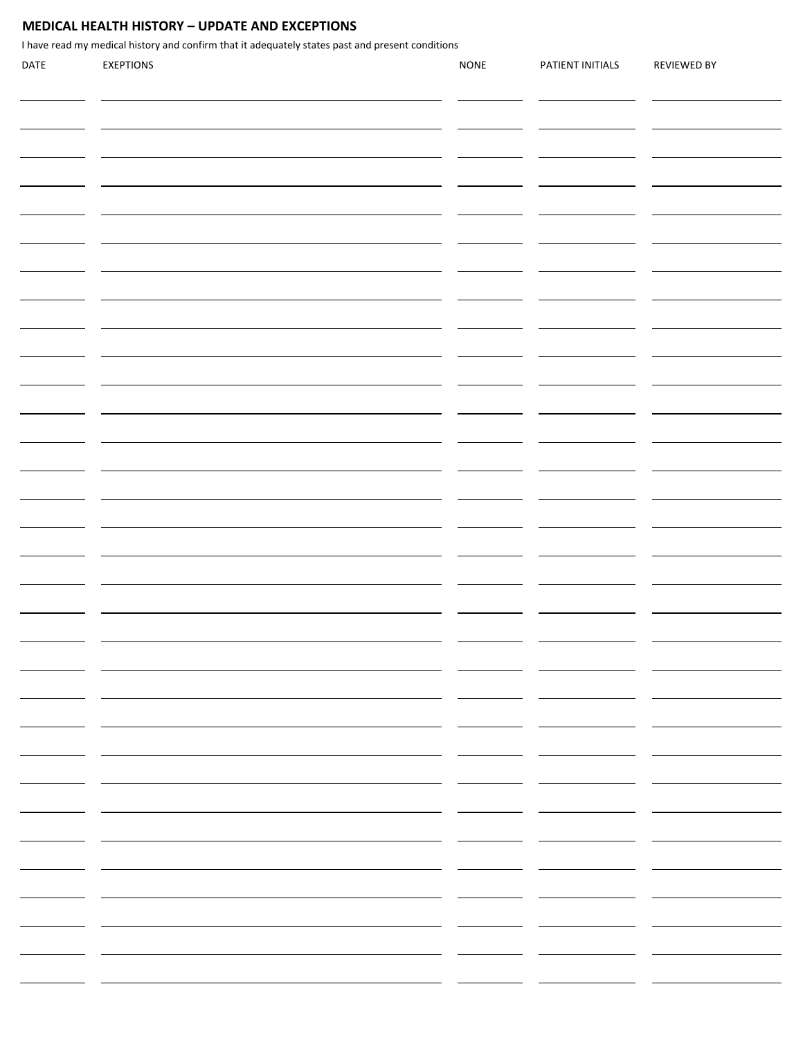### **MEDICAL HEALTH HISTORY – UPDATE AND EXCEPTIONS**

I have read my medical history and confirm that it adequately states past and present conditions

| DATE | <b>EXEPTIONS</b> | <b>NONE</b>              | PATIENT INITIALS | <b>REVIEWED BY</b> |
|------|------------------|--------------------------|------------------|--------------------|
|      |                  |                          |                  |                    |
|      |                  |                          |                  |                    |
|      |                  |                          |                  |                    |
|      |                  |                          |                  |                    |
|      |                  |                          |                  |                    |
|      |                  |                          |                  |                    |
|      |                  |                          |                  |                    |
|      |                  |                          |                  |                    |
|      |                  |                          |                  |                    |
|      |                  |                          |                  |                    |
|      |                  |                          |                  |                    |
|      |                  |                          |                  |                    |
|      |                  |                          |                  |                    |
|      |                  |                          |                  |                    |
|      |                  |                          |                  |                    |
|      |                  |                          |                  |                    |
|      |                  |                          |                  |                    |
|      |                  |                          |                  |                    |
|      |                  |                          |                  |                    |
|      |                  |                          |                  |                    |
|      |                  |                          |                  |                    |
|      |                  |                          |                  |                    |
|      |                  |                          |                  |                    |
|      |                  |                          |                  |                    |
|      |                  |                          |                  |                    |
|      |                  |                          |                  |                    |
|      |                  |                          |                  |                    |
|      |                  |                          |                  |                    |
|      |                  |                          |                  |                    |
|      |                  |                          |                  |                    |
|      |                  |                          |                  |                    |
|      |                  |                          |                  |                    |
|      |                  |                          |                  |                    |
|      |                  |                          |                  |                    |
|      |                  |                          |                  |                    |
|      |                  |                          |                  |                    |
|      |                  |                          |                  |                    |
|      |                  |                          |                  |                    |
|      |                  | $\sim$                   |                  |                    |
|      |                  |                          |                  |                    |
|      |                  | - -                      | - -              |                    |
|      |                  | $\overline{\phantom{0}}$ |                  |                    |
|      |                  |                          |                  |                    |
|      |                  | $\sim$                   |                  |                    |
|      |                  |                          |                  |                    |
|      |                  |                          |                  |                    |
|      |                  | $\sim$                   |                  |                    |
|      |                  |                          |                  |                    |
|      | Ξ.               | <b>Contract Contract</b> |                  |                    |
|      |                  |                          |                  |                    |
|      |                  |                          |                  |                    |
|      |                  | $\sim$                   |                  |                    |
|      |                  |                          |                  |                    |
|      |                  |                          |                  |                    |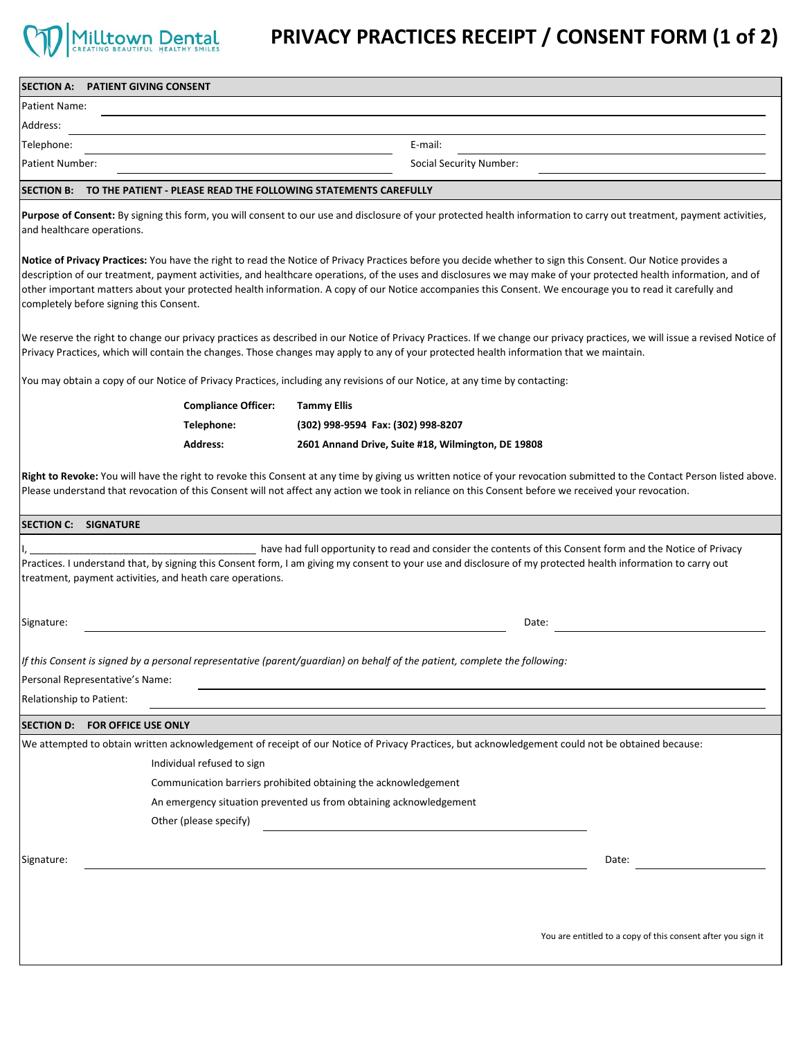

# **PRIVACY PRACTICES RECEIPT / CONSENT FORM (1 of 2)**

| <b>SECTION A:</b><br><b>PATIENT GIVING CONSENT</b>                                       |                                                                                                                                                                                                                                                                                                                                                                                                                                                                                                 |
|------------------------------------------------------------------------------------------|-------------------------------------------------------------------------------------------------------------------------------------------------------------------------------------------------------------------------------------------------------------------------------------------------------------------------------------------------------------------------------------------------------------------------------------------------------------------------------------------------|
| Patient Name:                                                                            |                                                                                                                                                                                                                                                                                                                                                                                                                                                                                                 |
| Address:                                                                                 |                                                                                                                                                                                                                                                                                                                                                                                                                                                                                                 |
| Telephone:                                                                               | E-mail:                                                                                                                                                                                                                                                                                                                                                                                                                                                                                         |
| <b>Patient Number:</b>                                                                   | Social Security Number:                                                                                                                                                                                                                                                                                                                                                                                                                                                                         |
| SECTION B: TO THE PATIENT - PLEASE READ THE FOLLOWING STATEMENTS CAREFULLY               |                                                                                                                                                                                                                                                                                                                                                                                                                                                                                                 |
| and healthcare operations.                                                               | Purpose of Consent: By signing this form, you will consent to our use and disclosure of your protected health information to carry out treatment, payment activities,                                                                                                                                                                                                                                                                                                                           |
| completely before signing this Consent.                                                  | Notice of Privacy Practices: You have the right to read the Notice of Privacy Practices before you decide whether to sign this Consent. Our Notice provides a<br>description of our treatment, payment activities, and healthcare operations, of the uses and disclosures we may make of your protected health information, and of<br>other important matters about your protected health information. A copy of our Notice accompanies this Consent. We encourage you to read it carefully and |
|                                                                                          | We reserve the right to change our privacy practices as described in our Notice of Privacy Practices. If we change our privacy practices, we will issue a revised Notice of<br>Privacy Practices, which will contain the changes. Those changes may apply to any of your protected health information that we maintain.                                                                                                                                                                         |
|                                                                                          | You may obtain a copy of our Notice of Privacy Practices, including any revisions of our Notice, at any time by contacting:                                                                                                                                                                                                                                                                                                                                                                     |
| <b>Compliance Officer:</b>                                                               | <b>Tammy Ellis</b>                                                                                                                                                                                                                                                                                                                                                                                                                                                                              |
| Telephone:                                                                               | (302) 998-9594 Fax: (302) 998-8207                                                                                                                                                                                                                                                                                                                                                                                                                                                              |
| <b>Address:</b>                                                                          | 2601 Annand Drive, Suite #18, Wilmington, DE 19808                                                                                                                                                                                                                                                                                                                                                                                                                                              |
| <b>SECTION C: SIGNATURE</b><br>treatment, payment activities, and heath care operations. | have had full opportunity to read and consider the contents of this Consent form and the Notice of Privacy<br>Practices. I understand that, by signing this Consent form, I am giving my consent to your use and disclosure of my protected health information to carry out                                                                                                                                                                                                                     |
| Signature:                                                                               | Date:                                                                                                                                                                                                                                                                                                                                                                                                                                                                                           |
| Personal Representative's Name:<br>Relationship to Patient:                              | If this Consent is signed by a personal representative (parent/guardian) on behalf of the patient, complete the following:                                                                                                                                                                                                                                                                                                                                                                      |
| SECTION D: FOR OFFICE USE ONLY                                                           |                                                                                                                                                                                                                                                                                                                                                                                                                                                                                                 |
| Individual refused to sign<br>Other (please specify)                                     | We attempted to obtain written acknowledgement of receipt of our Notice of Privacy Practices, but acknowledgement could not be obtained because:<br>Communication barriers prohibited obtaining the acknowledgement<br>An emergency situation prevented us from obtaining acknowledgement                                                                                                                                                                                                       |
| Signature:                                                                               | Date:                                                                                                                                                                                                                                                                                                                                                                                                                                                                                           |
|                                                                                          | You are entitled to a copy of this consent after you sign it                                                                                                                                                                                                                                                                                                                                                                                                                                    |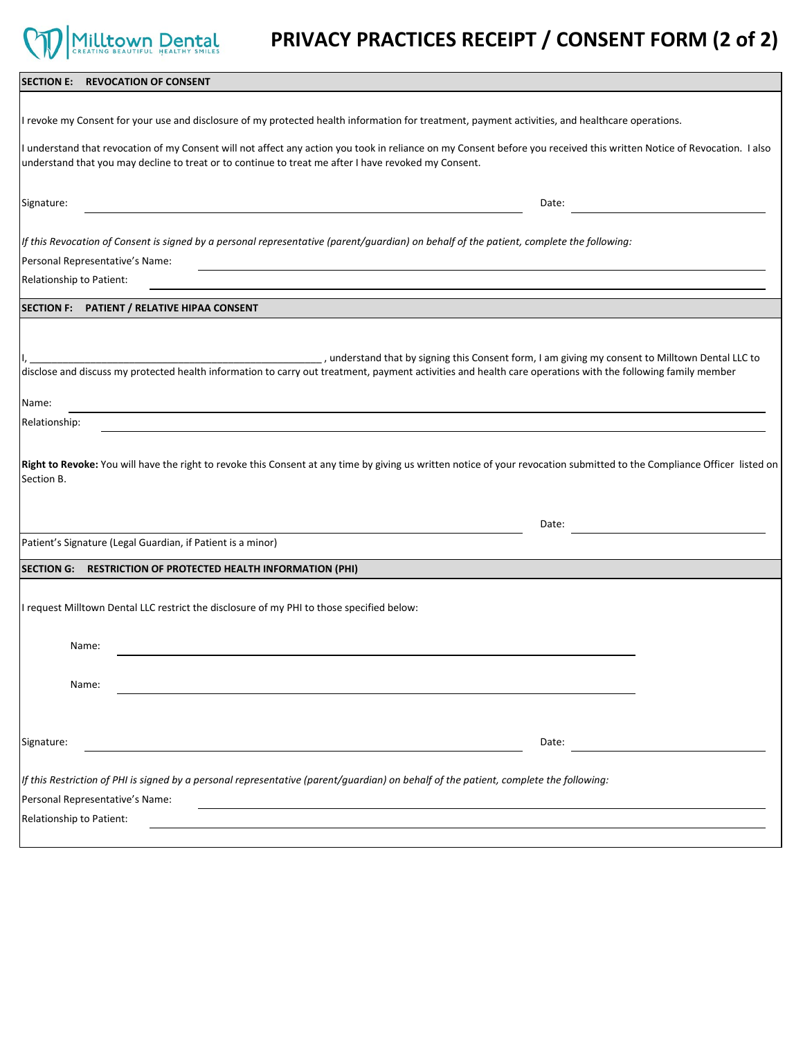# **PRIVACY PRACTICES RECEIPT / CONSENT FORM (2 of 2)**

| SECTION E: REVOCATION OF CONSENT                                                                                                                                                                                                                                                                                                                     |
|------------------------------------------------------------------------------------------------------------------------------------------------------------------------------------------------------------------------------------------------------------------------------------------------------------------------------------------------------|
|                                                                                                                                                                                                                                                                                                                                                      |
| I revoke my Consent for your use and disclosure of my protected health information for treatment, payment activities, and healthcare operations.                                                                                                                                                                                                     |
| I understand that revocation of my Consent will not affect any action you took in reliance on my Consent before you received this written Notice of Revocation. I also<br>understand that you may decline to treat or to continue to treat me after I have revoked my Consent.                                                                       |
| Signature:<br>Date:                                                                                                                                                                                                                                                                                                                                  |
| If this Revocation of Consent is signed by a personal representative (parent/guardian) on behalf of the patient, complete the following:                                                                                                                                                                                                             |
| Personal Representative's Name:                                                                                                                                                                                                                                                                                                                      |
| Relationship to Patient:                                                                                                                                                                                                                                                                                                                             |
| SECTION F: PATIENT / RELATIVE HIPAA CONSENT                                                                                                                                                                                                                                                                                                          |
|                                                                                                                                                                                                                                                                                                                                                      |
| understand that by signing this Consent form, I am giving my consent to Milltown Dental LLC to (in the by signing this Consent form, I am giving my consent to Milltown Dental LLC to<br>disclose and discuss my protected health information to carry out treatment, payment activities and health care operations with the following family member |
| Name:                                                                                                                                                                                                                                                                                                                                                |
| Relationship:                                                                                                                                                                                                                                                                                                                                        |
| Right to Revoke: You will have the right to revoke this Consent at any time by giving us written notice of your revocation submitted to the Compliance Officer listed on<br>Section B.                                                                                                                                                               |
| Date:                                                                                                                                                                                                                                                                                                                                                |
| Patient's Signature (Legal Guardian, if Patient is a minor)                                                                                                                                                                                                                                                                                          |
| SECTION G: RESTRICTION OF PROTECTED HEALTH INFORMATION (PHI)                                                                                                                                                                                                                                                                                         |
| I request Milltown Dental LLC restrict the disclosure of my PHI to those specified below:                                                                                                                                                                                                                                                            |
| Name:                                                                                                                                                                                                                                                                                                                                                |
| Name:                                                                                                                                                                                                                                                                                                                                                |
|                                                                                                                                                                                                                                                                                                                                                      |
| Signature:<br>Date:                                                                                                                                                                                                                                                                                                                                  |
| If this Restriction of PHI is signed by a personal representative (parent/guardian) on behalf of the patient, complete the following:                                                                                                                                                                                                                |
| Personal Representative's Name:                                                                                                                                                                                                                                                                                                                      |
| Relationship to Patient:                                                                                                                                                                                                                                                                                                                             |
|                                                                                                                                                                                                                                                                                                                                                      |